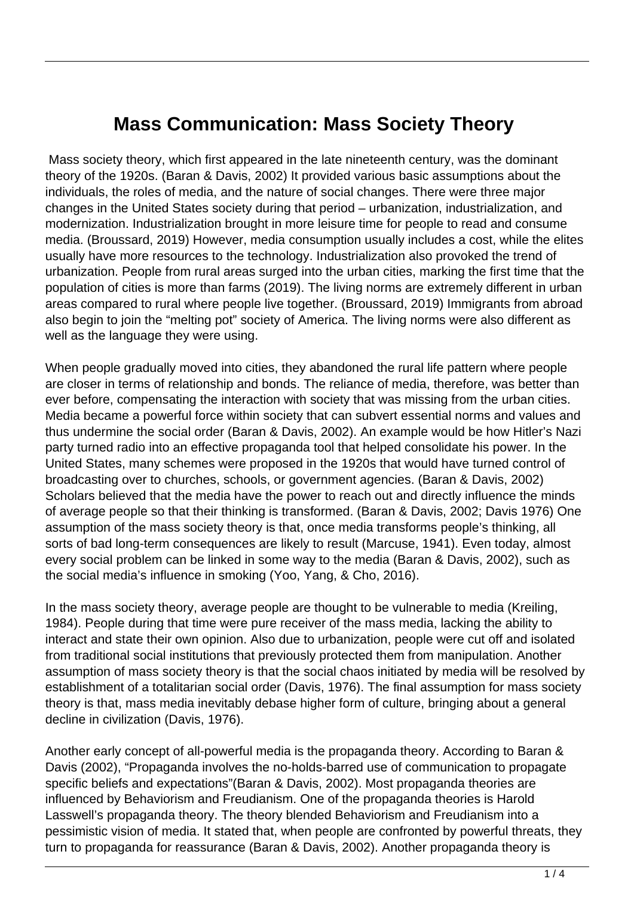## **Mass Communication: Mass Society Theory**

 Mass society theory, which first appeared in the late nineteenth century, was the dominant theory of the 1920s. (Baran & Davis, 2002) It provided various basic assumptions about the individuals, the roles of media, and the nature of social changes. There were three major changes in the United States society during that period – urbanization, industrialization, and modernization. Industrialization brought in more leisure time for people to read and consume media. (Broussard, 2019) However, media consumption usually includes a cost, while the elites usually have more resources to the technology. Industrialization also provoked the trend of urbanization. People from rural areas surged into the urban cities, marking the first time that the population of cities is more than farms (2019). The living norms are extremely different in urban areas compared to rural where people live together. (Broussard, 2019) Immigrants from abroad also begin to join the "melting pot" society of America. The living norms were also different as well as the language they were using.

When people gradually moved into cities, they abandoned the rural life pattern where people are closer in terms of relationship and bonds. The reliance of media, therefore, was better than ever before, compensating the interaction with society that was missing from the urban cities. Media became a powerful force within society that can subvert essential norms and values and thus undermine the social order (Baran & Davis, 2002). An example would be how Hitler's Nazi party turned radio into an effective propaganda tool that helped consolidate his power. In the United States, many schemes were proposed in the 1920s that would have turned control of broadcasting over to churches, schools, or government agencies. (Baran & Davis, 2002) Scholars believed that the media have the power to reach out and directly influence the minds of average people so that their thinking is transformed. (Baran & Davis, 2002; Davis 1976) One assumption of the mass society theory is that, once media transforms people's thinking, all sorts of bad long-term consequences are likely to result (Marcuse, 1941). Even today, almost every social problem can be linked in some way to the media (Baran & Davis, 2002), such as the social media's influence in smoking (Yoo, Yang, & Cho, 2016).

In the mass society theory, average people are thought to be vulnerable to media (Kreiling, 1984). People during that time were pure receiver of the mass media, lacking the ability to interact and state their own opinion. Also due to urbanization, people were cut off and isolated from traditional social institutions that previously protected them from manipulation. Another assumption of mass society theory is that the social chaos initiated by media will be resolved by establishment of a totalitarian social order (Davis, 1976). The final assumption for mass society theory is that, mass media inevitably debase higher form of culture, bringing about a general decline in civilization (Davis, 1976).

Another early concept of all-powerful media is the propaganda theory. According to Baran & Davis (2002), "Propaganda involves the no-holds-barred use of communication to propagate specific beliefs and expectations"(Baran & Davis, 2002). Most propaganda theories are influenced by Behaviorism and Freudianism. One of the propaganda theories is Harold Lasswell's propaganda theory. The theory blended Behaviorism and Freudianism into a pessimistic vision of media. It stated that, when people are confronted by powerful threats, they turn to propaganda for reassurance (Baran & Davis, 2002). Another propaganda theory is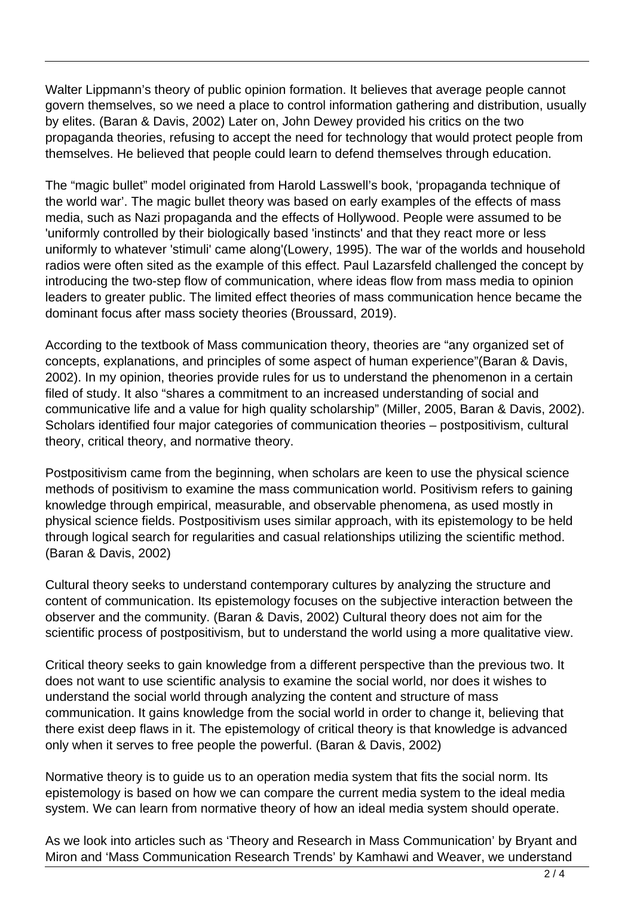Walter Lippmann's theory of public opinion formation. It believes that average people cannot govern themselves, so we need a place to control information gathering and distribution, usually by elites. (Baran & Davis, 2002) Later on, John Dewey provided his critics on the two propaganda theories, refusing to accept the need for technology that would protect people from themselves. He believed that people could learn to defend themselves through education.

The "magic bullet" model originated from Harold Lasswell's book, 'propaganda technique of the world war'. The magic bullet theory was based on early examples of the effects of mass media, such as Nazi propaganda and the effects of Hollywood. People were assumed to be 'uniformly controlled by their biologically based 'instincts' and that they react more or less uniformly to whatever 'stimuli' came along'(Lowery, 1995). The war of the worlds and household radios were often sited as the example of this effect. Paul Lazarsfeld challenged the concept by introducing the two-step flow of communication, where ideas flow from mass media to opinion leaders to greater public. The limited effect theories of mass communication hence became the dominant focus after mass society theories (Broussard, 2019).

According to the textbook of Mass communication theory, theories are "any organized set of concepts, explanations, and principles of some aspect of human experience"(Baran & Davis, 2002). In my opinion, theories provide rules for us to understand the phenomenon in a certain filed of study. It also "shares a commitment to an increased understanding of social and communicative life and a value for high quality scholarship" (Miller, 2005, Baran & Davis, 2002). Scholars identified four major categories of communication theories – postpositivism, cultural theory, critical theory, and normative theory.

Postpositivism came from the beginning, when scholars are keen to use the physical science methods of positivism to examine the mass communication world. Positivism refers to gaining knowledge through empirical, measurable, and observable phenomena, as used mostly in physical science fields. Postpositivism uses similar approach, with its epistemology to be held through logical search for regularities and casual relationships utilizing the scientific method. (Baran & Davis, 2002)

Cultural theory seeks to understand contemporary cultures by analyzing the structure and content of communication. Its epistemology focuses on the subjective interaction between the observer and the community. (Baran & Davis, 2002) Cultural theory does not aim for the scientific process of postpositivism, but to understand the world using a more qualitative view.

Critical theory seeks to gain knowledge from a different perspective than the previous two. It does not want to use scientific analysis to examine the social world, nor does it wishes to understand the social world through analyzing the content and structure of mass communication. It gains knowledge from the social world in order to change it, believing that there exist deep flaws in it. The epistemology of critical theory is that knowledge is advanced only when it serves to free people the powerful. (Baran & Davis, 2002)

Normative theory is to guide us to an operation media system that fits the social norm. Its epistemology is based on how we can compare the current media system to the ideal media system. We can learn from normative theory of how an ideal media system should operate.

As we look into articles such as 'Theory and Research in Mass Communication' by Bryant and Miron and 'Mass Communication Research Trends' by Kamhawi and Weaver, we understand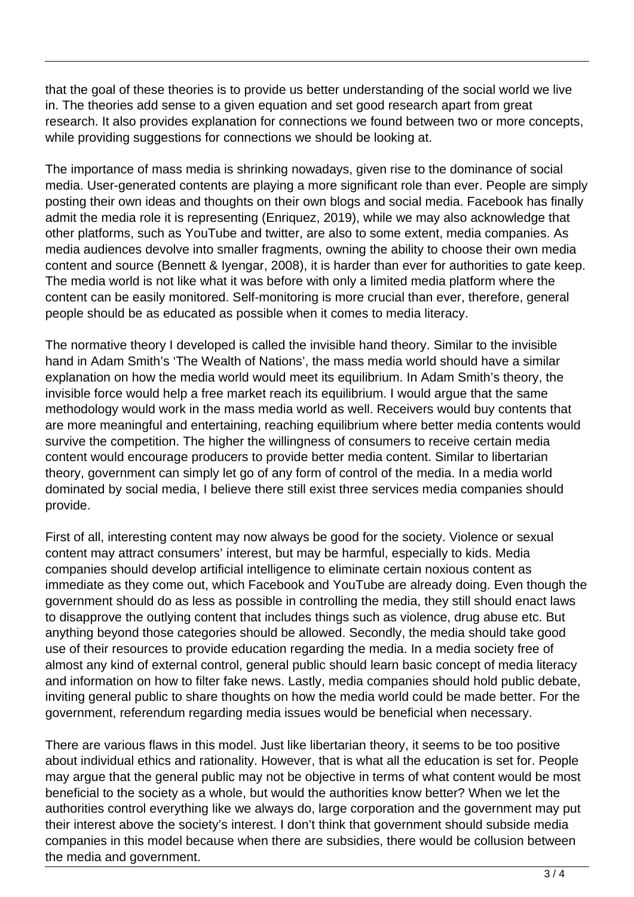that the goal of these theories is to provide us better understanding of the social world we live in. The theories add sense to a given equation and set good research apart from great research. It also provides explanation for connections we found between two or more concepts, while providing suggestions for connections we should be looking at.

The importance of mass media is shrinking nowadays, given rise to the dominance of social media. User-generated contents are playing a more significant role than ever. People are simply posting their own ideas and thoughts on their own blogs and social media. Facebook has finally admit the media role it is representing (Enriquez, 2019), while we may also acknowledge that other platforms, such as YouTube and twitter, are also to some extent, media companies. As media audiences devolve into smaller fragments, owning the ability to choose their own media content and source (Bennett & Iyengar, 2008), it is harder than ever for authorities to gate keep. The media world is not like what it was before with only a limited media platform where the content can be easily monitored. Self-monitoring is more crucial than ever, therefore, general people should be as educated as possible when it comes to media literacy.

The normative theory I developed is called the invisible hand theory. Similar to the invisible hand in Adam Smith's 'The Wealth of Nations', the mass media world should have a similar explanation on how the media world would meet its equilibrium. In Adam Smith's theory, the invisible force would help a free market reach its equilibrium. I would argue that the same methodology would work in the mass media world as well. Receivers would buy contents that are more meaningful and entertaining, reaching equilibrium where better media contents would survive the competition. The higher the willingness of consumers to receive certain media content would encourage producers to provide better media content. Similar to libertarian theory, government can simply let go of any form of control of the media. In a media world dominated by social media, I believe there still exist three services media companies should provide.

First of all, interesting content may now always be good for the society. Violence or sexual content may attract consumers' interest, but may be harmful, especially to kids. Media companies should develop artificial intelligence to eliminate certain noxious content as immediate as they come out, which Facebook and YouTube are already doing. Even though the government should do as less as possible in controlling the media, they still should enact laws to disapprove the outlying content that includes things such as violence, drug abuse etc. But anything beyond those categories should be allowed. Secondly, the media should take good use of their resources to provide education regarding the media. In a media society free of almost any kind of external control, general public should learn basic concept of media literacy and information on how to filter fake news. Lastly, media companies should hold public debate, inviting general public to share thoughts on how the media world could be made better. For the government, referendum regarding media issues would be beneficial when necessary.

There are various flaws in this model. Just like libertarian theory, it seems to be too positive about individual ethics and rationality. However, that is what all the education is set for. People may argue that the general public may not be objective in terms of what content would be most beneficial to the society as a whole, but would the authorities know better? When we let the authorities control everything like we always do, large corporation and the government may put their interest above the society's interest. I don't think that government should subside media companies in this model because when there are subsidies, there would be collusion between the media and government.